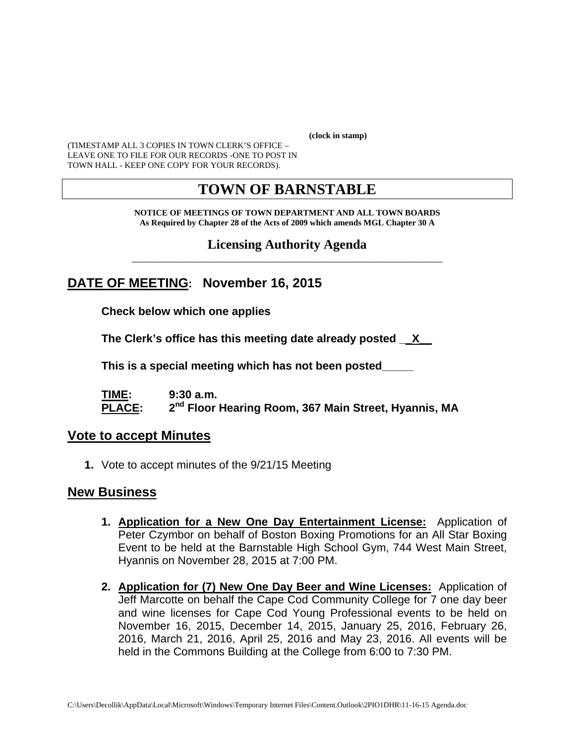**(clock in stamp)** 

(TIMESTAMP ALL 3 COPIES IN TOWN CLERK'S OFFICE – LEAVE ONE TO FILE FOR OUR RECORDS -ONE TO POST IN TOWN HALL - KEEP ONE COPY FOR YOUR RECORDS).

## **TOWN OF BARNSTABLE**

**NOTICE OF MEETINGS OF TOWN DEPARTMENT AND ALL TOWN BOARDS As Required by Chapter 28 of the Acts of 2009 which amends MGL Chapter 30 A** 

**Licensing Authority Agenda** \_\_\_\_\_\_\_\_\_\_\_\_\_\_\_\_\_\_\_\_\_\_\_\_\_\_\_\_\_\_\_\_\_\_\_\_\_\_\_\_\_\_\_\_\_\_\_\_\_\_\_\_\_\_\_\_\_\_\_\_

## **DATE OF MEETING: November 16, 2015**

**Check below which one applies** 

**The Clerk's office has this meeting date already posted \_\_X\_\_** 

 **This is a special meeting which has not been posted\_\_\_\_\_** 

**TIME: 9:30 a.m. PLACE: 2nd Floor Hearing Room, 367 Main Street, Hyannis, MA**

#### **Vote to accept Minutes**

**1.** Vote to accept minutes of the 9/21/15 Meeting

#### **New Business**

- **1. Application for a New One Day Entertainment License:** Application of Peter Czymbor on behalf of Boston Boxing Promotions for an All Star Boxing Event to be held at the Barnstable High School Gym, 744 West Main Street, Hyannis on November 28, 2015 at 7:00 PM.
- **2. Application for (7) New One Day Beer and Wine Licenses:** Application of Jeff Marcotte on behalf the Cape Cod Community College for 7 one day beer and wine licenses for Cape Cod Young Professional events to be held on November 16, 2015, December 14, 2015, January 25, 2016, February 26, 2016, March 21, 2016, April 25, 2016 and May 23, 2016. All events will be held in the Commons Building at the College from 6:00 to 7:30 PM.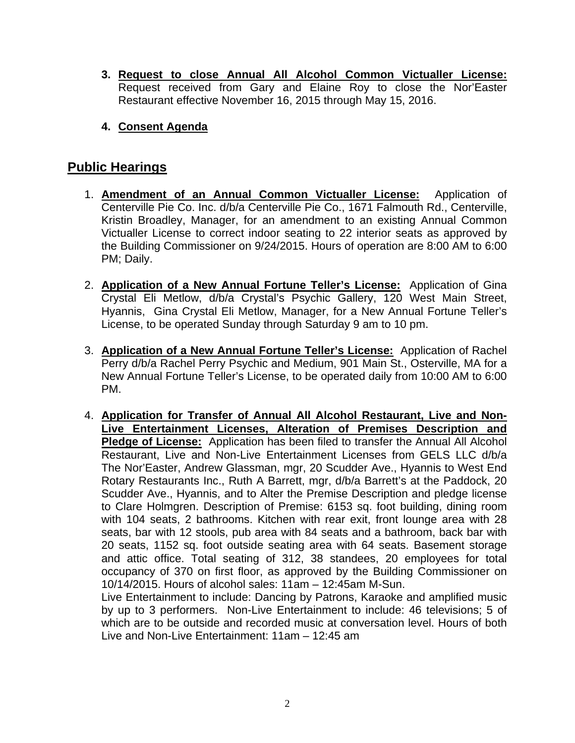- **3. Request to close Annual All Alcohol Common Victualler License:**  Request received from Gary and Elaine Roy to close the Nor'Easter Restaurant effective November 16, 2015 through May 15, 2016.
- **4. Consent Agenda**

### **Public Hearings**

- 1. **Amendment of an Annual Common Victualler License:** Application of Centerville Pie Co. Inc. d/b/a Centerville Pie Co., 1671 Falmouth Rd., Centerville, Kristin Broadley, Manager, for an amendment to an existing Annual Common Victualler License to correct indoor seating to 22 interior seats as approved by the Building Commissioner on 9/24/2015. Hours of operation are 8:00 AM to 6:00 PM; Daily.
- 2. **Application of a New Annual Fortune Teller's License:** Application of Gina Crystal Eli Metlow, d/b/a Crystal's Psychic Gallery, 120 West Main Street, Hyannis, Gina Crystal Eli Metlow, Manager, for a New Annual Fortune Teller's License, to be operated Sunday through Saturday 9 am to 10 pm.
- 3. **Application of a New Annual Fortune Teller's License:** Application of Rachel Perry d/b/a Rachel Perry Psychic and Medium, 901 Main St., Osterville, MA for a New Annual Fortune Teller's License, to be operated daily from 10:00 AM to 6:00 PM.
- 4. **Application for Transfer of Annual All Alcohol Restaurant, Live and Non-Live Entertainment Licenses, Alteration of Premises Description and Pledge of License:** Application has been filed to transfer the Annual All Alcohol Restaurant, Live and Non-Live Entertainment Licenses from GELS LLC d/b/a The Nor'Easter, Andrew Glassman, mgr, 20 Scudder Ave., Hyannis to West End Rotary Restaurants Inc., Ruth A Barrett, mgr, d/b/a Barrett's at the Paddock, 20 Scudder Ave., Hyannis, and to Alter the Premise Description and pledge license to Clare Holmgren. Description of Premise: 6153 sq. foot building, dining room with 104 seats, 2 bathrooms. Kitchen with rear exit, front lounge area with 28 seats, bar with 12 stools, pub area with 84 seats and a bathroom, back bar with 20 seats, 1152 sq. foot outside seating area with 64 seats. Basement storage and attic office. Total seating of 312, 38 standees, 20 employees for total occupancy of 370 on first floor, as approved by the Building Commissioner on 10/14/2015. Hours of alcohol sales: 11am – 12:45am M-Sun.

Live Entertainment to include: Dancing by Patrons, Karaoke and amplified music by up to 3 performers. Non-Live Entertainment to include: 46 televisions; 5 of which are to be outside and recorded music at conversation level. Hours of both Live and Non-Live Entertainment: 11am – 12:45 am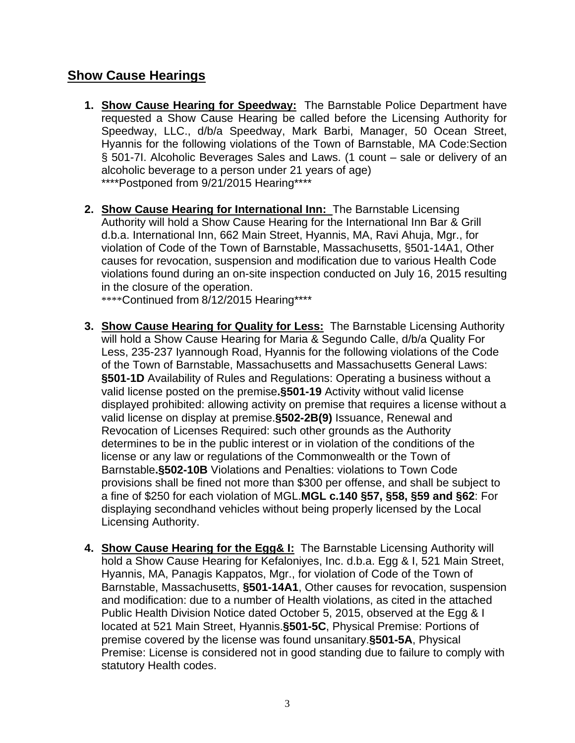### **Show Cause Hearings**

- **1. Show Cause Hearing for Speedway:** The Barnstable Police Department have requested a Show Cause Hearing be called before the Licensing Authority for Speedway, LLC., d/b/a Speedway, Mark Barbi, Manager, 50 Ocean Street, Hyannis for the following violations of the Town of Barnstable, MA Code:Section § 501-7I. Alcoholic Beverages Sales and Laws. (1 count – sale or delivery of an alcoholic beverage to a person under 21 years of age) \*\*\*\*Postponed from 9/21/2015 Hearing\*\*\*\*
- **2. Show Cause Hearing for International Inn:** The Barnstable Licensing Authority will hold a Show Cause Hearing for the International Inn Bar & Grill d.b.a. International Inn, 662 Main Street, Hyannis, MA, Ravi Ahuja, Mgr., for violation of Code of the Town of Barnstable, Massachusetts, §501-14A1, Other causes for revocation, suspension and modification due to various Health Code violations found during an on-site inspection conducted on July 16, 2015 resulting in the closure of the operation.

\*\*\*\*Continued from 8/12/2015 Hearing\*\*\*\*

- **3. Show Cause Hearing for Quality for Less:** The Barnstable Licensing Authority will hold a Show Cause Hearing for Maria & Segundo Calle, d/b/a Quality For Less, 235-237 Iyannough Road, Hyannis for the following violations of the Code of the Town of Barnstable, Massachusetts and Massachusetts General Laws: **§501-1D** Availability of Rules and Regulations: Operating a business without a valid license posted on the premise**.§501-19** Activity without valid license displayed prohibited: allowing activity on premise that requires a license without a valid license on display at premise.**§502-2B(9)** Issuance, Renewal and Revocation of Licenses Required: such other grounds as the Authority determines to be in the public interest or in violation of the conditions of the license or any law or regulations of the Commonwealth or the Town of Barnstable**.§502-10B** Violations and Penalties: violations to Town Code provisions shall be fined not more than \$300 per offense, and shall be subject to a fine of \$250 for each violation of MGL.**MGL c.140 §57, §58, §59 and §62**: For displaying secondhand vehicles without being properly licensed by the Local Licensing Authority.
- **4. Show Cause Hearing for the Egg& I:** The Barnstable Licensing Authority will hold a Show Cause Hearing for Kefaloniyes, Inc. d.b.a. Egg & I, 521 Main Street, Hyannis, MA, Panagis Kappatos, Mgr., for violation of Code of the Town of Barnstable, Massachusetts, **§501-14A1**, Other causes for revocation, suspension and modification: due to a number of Health violations, as cited in the attached Public Health Division Notice dated October 5, 2015, observed at the Egg & I located at 521 Main Street, Hyannis.**§501-5C**, Physical Premise: Portions of premise covered by the license was found unsanitary.**§501-5A**, Physical Premise: License is considered not in good standing due to failure to comply with statutory Health codes.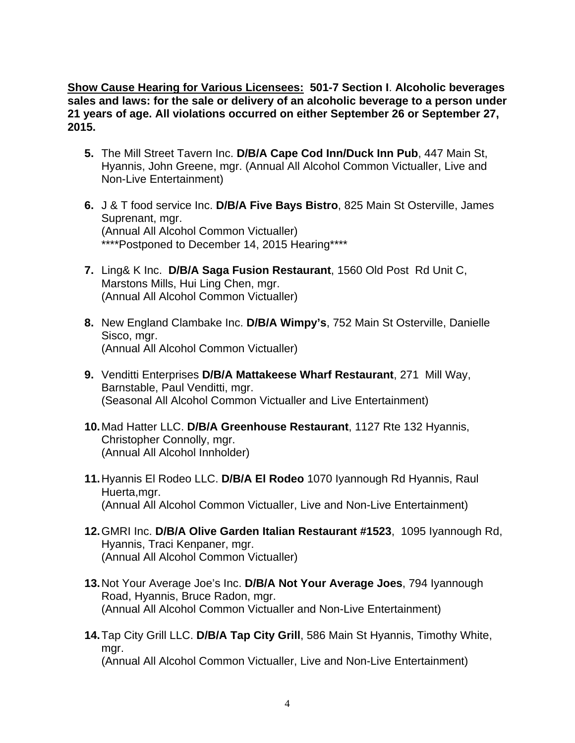**Show Cause Hearing for Various Licensees: 501-7 Section I**. **Alcoholic beverages sales and laws: for the sale or delivery of an alcoholic beverage to a person under 21 years of age. All violations occurred on either September 26 or September 27, 2015.** 

- **5.** The Mill Street Tavern Inc. **D/B/A Cape Cod Inn/Duck Inn Pub**, 447 Main St, Hyannis, John Greene, mgr. (Annual All Alcohol Common Victualler, Live and Non-Live Entertainment)
- **6.** J & T food service Inc. **D/B/A Five Bays Bistro**, 825 Main St Osterville, James Suprenant, mgr. (Annual All Alcohol Common Victualler) \*\*\*\*Postponed to December 14, 2015 Hearing\*\*\*\*
- **7.** Ling& K Inc. **D/B/A Saga Fusion Restaurant**, 1560 Old Post Rd Unit C, Marstons Mills, Hui Ling Chen, mgr. (Annual All Alcohol Common Victualler)
- **8.** New England Clambake Inc. **D/B/A Wimpy's**, 752 Main St Osterville, Danielle Sisco, mgr. (Annual All Alcohol Common Victualler)
- **9.** Venditti Enterprises **D/B/A Mattakeese Wharf Restaurant**, 271 Mill Way, Barnstable, Paul Venditti, mgr. (Seasonal All Alcohol Common Victualler and Live Entertainment)
- **10.** Mad Hatter LLC. **D/B/A Greenhouse Restaurant**, 1127 Rte 132 Hyannis, Christopher Connolly, mgr. (Annual All Alcohol Innholder)
- **11.** Hyannis El Rodeo LLC. **D/B/A El Rodeo** 1070 Iyannough Rd Hyannis, Raul Huerta,mgr. (Annual All Alcohol Common Victualler, Live and Non-Live Entertainment)
- **12.** GMRI Inc. **D/B/A Olive Garden Italian Restaurant #1523**, 1095 Iyannough Rd, Hyannis, Traci Kenpaner, mgr. (Annual All Alcohol Common Victualler)
- **13.** Not Your Average Joe's Inc. **D/B/A Not Your Average Joes**, 794 Iyannough Road, Hyannis, Bruce Radon, mgr. (Annual All Alcohol Common Victualler and Non-Live Entertainment)
- **14.** Tap City Grill LLC. **D/B/A Tap City Grill**, 586 Main St Hyannis, Timothy White, mgr. (Annual All Alcohol Common Victualler, Live and Non-Live Entertainment)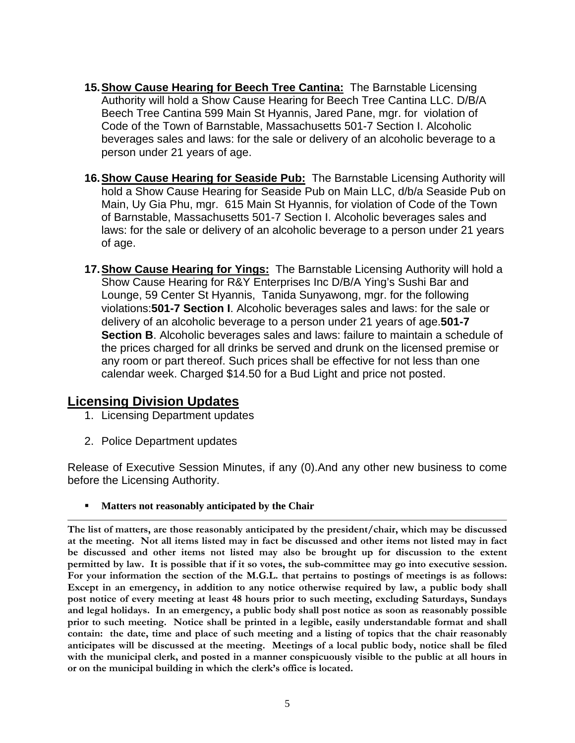- **15. Show Cause Hearing for Beech Tree Cantina:** The Barnstable Licensing Authority will hold a Show Cause Hearing for Beech Tree Cantina LLC. D/B/A Beech Tree Cantina 599 Main St Hyannis, Jared Pane, mgr. for violation of Code of the Town of Barnstable, Massachusetts 501-7 Section I. Alcoholic beverages sales and laws: for the sale or delivery of an alcoholic beverage to a person under 21 years of age.
- **16. Show Cause Hearing for Seaside Pub:** The Barnstable Licensing Authority will hold a Show Cause Hearing for Seaside Pub on Main LLC, d/b/a Seaside Pub on Main, Uy Gia Phu, mgr. 615 Main St Hyannis, for violation of Code of the Town of Barnstable, Massachusetts 501-7 Section I. Alcoholic beverages sales and laws: for the sale or delivery of an alcoholic beverage to a person under 21 years of age.
- **17. Show Cause Hearing for Yings:** The Barnstable Licensing Authority will hold a Show Cause Hearing for R&Y Enterprises Inc D/B/A Ying's Sushi Bar and Lounge, 59 Center St Hyannis, Tanida Sunyawong, mgr. for the following violations:**501-7 Section I**. Alcoholic beverages sales and laws: for the sale or delivery of an alcoholic beverage to a person under 21 years of age.**501-7 Section B**. Alcoholic beverages sales and laws: failure to maintain a schedule of the prices charged for all drinks be served and drunk on the licensed premise or any room or part thereof. Such prices shall be effective for not less than one calendar week. Charged \$14.50 for a Bud Light and price not posted.

#### **Licensing Division Updates**

- 1. Licensing Department updates
- 2. Police Department updates

Release of Executive Session Minutes, if any (0).And any other new business to come before the Licensing Authority.

**Matters not reasonably anticipated by the Chair** 

**The list of matters, are those reasonably anticipated by the president/chair, which may be discussed at the meeting. Not all items listed may in fact be discussed and other items not listed may in fact be discussed and other items not listed may also be brought up for discussion to the extent permitted by law. It is possible that if it so votes, the sub-committee may go into executive session. For your information the section of the M.G.L. that pertains to postings of meetings is as follows: Except in an emergency, in addition to any notice otherwise required by law, a public body shall post notice of every meeting at least 48 hours prior to such meeting, excluding Saturdays, Sundays and legal holidays. In an emergency, a public body shall post notice as soon as reasonably possible prior to such meeting. Notice shall be printed in a legible, easily understandable format and shall contain: the date, time and place of such meeting and a listing of topics that the chair reasonably anticipates will be discussed at the meeting. Meetings of a local public body, notice shall be filed with the municipal clerk, and posted in a manner conspicuously visible to the public at all hours in or on the municipal building in which the clerk's office is located.**